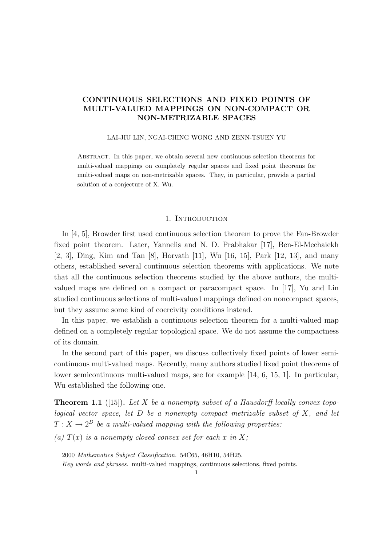# CONTINUOUS SELECTIONS AND FIXED POINTS OF MULTI-VALUED MAPPINGS ON NON-COMPACT OR NON-METRIZABLE SPACES

#### LAI-JIU LIN, NGAI-CHING WONG AND ZENN-TSUEN YU

Abstract. In this paper, we obtain several new continuous selection theorems for multi-valued mappings on completely regular spaces and fixed point theorems for multi-valued maps on non-metrizable spaces. They, in particular, provide a partial solution of a conjecture of X. Wu.

### 1. INTRODUCTION

In [4, 5], Browder first used continuous selection theorem to prove the Fan-Browder fixed point theorem. Later, Yannelis and N. D. Prabhakar [17], Ben-El-Mechaiekh [2, 3], Ding, Kim and Tan [8], Horvath [11], Wu [16, 15], Park [12, 13], and many others, established several continuous selection theorems with applications. We note that all the continuous selection theorems studied by the above authors, the multivalued maps are defined on a compact or paracompact space. In [17], Yu and Lin studied continuous selections of multi-valued mappings defined on noncompact spaces, but they assume some kind of coercivity conditions instead.

In this paper, we establish a continuous selection theorem for a multi-valued map defined on a completely regular topological space. We do not assume the compactness of its domain.

In the second part of this paper, we discuss collectively fixed points of lower semicontinuous multi-valued maps. Recently, many authors studied fixed point theorems of lower semicontinuous multi-valued maps, see for example [14, 6, 15, 1]. In particular, Wu established the following one.

**Theorem 1.1** ([15]). Let X be a nonempty subset of a Hausdorff locally convex topological vector space, let  $D$  be a nonempty compact metrizable subset of  $X$ , and let  $T: X \to 2^D$  be a multi-valued mapping with the following properties:

(a)  $T(x)$  is a nonempty closed convex set for each x in X;

<sup>2000</sup> Mathematics Subject Classification. 54C65, 46H10, 54H25.

Key words and phrases. multi-valued mappings, continuous selections, fixed points.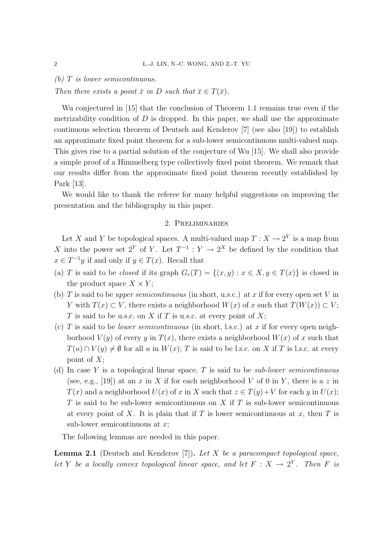(b)  $T$  is lower semicontinuous.

Then there exists a point  $\bar{x}$  in D such that  $\bar{x} \in T(\bar{x})$ .

Wu conjectured in [15] that the conclusion of Theorem 1.1 remains true even if the metrizability condition of  $D$  is dropped. In this paper, we shall use the approximate continuous selection theorem of Deutsch and Kenderov [7] (see also [19]) to establish an approximate fixed point theorem for a sub-lower semicontinuous multi-valued map. This gives rise to a partial solution of the conjecture of Wu [15]. We shall also provide a simple proof of a Himmelberg type collectively fixed point theorem. We remark that our results differ from the approximate fixed point theorem recently established by Park [13].

We would like to thank the referee for many helpful suggestions on improving the presentation and the bibliography in this paper.

# 2. Preliminaries

Let X and Y be topological spaces. A multi-valued map  $T : X \to 2^Y$  is a map from X into the power set  $2^Y$  of Y. Let  $T^{-1}$  :  $Y \to 2^X$  be defined by the condition that  $x \in T^{-1}y$  if and only if  $y \in T(x)$ . Recall that

- (a) T is said to be *closed* if its graph  $G_r(T) = \{(x, y) : x \in X, y \in T(x)\}\)$  is closed in the product space  $X \times Y$ ;
- (b) T is said to be *upper semicontinuous* (in short, u.s.c.) at x if for every open set V in Y with  $T(x) \subset V$ , there exists a neighborhood  $W(x)$  of x such that  $T(W(x)) \subset V$ ; T is said to be u.s.c. on X if T is u.s.c. at every point of X;
- (c) T is said to be *lower semicontinuous* (in short, l.s.c.) at x if for every open neighborhood  $V(y)$  of every y in  $T(x)$ , there exists a neighborhood  $W(x)$  of x such that  $T(u) \cap V(y) \neq \emptyset$  for all u in  $W(x)$ ; T is said to be l.s.c. on X if T is l.s.c. at every point of  $X$ ;
- (d) In case Y is a topological linear space, T is said to be *sub-lower semicontinuous* (see, e.g., [19]) at an x in X if for each neighborhood V of 0 in Y, there is a z in  $T(x)$  and a neighborhood  $U(x)$  of x in X such that  $z \in T(y)+V$  for each y in  $U(x)$ ;  $T$  is said to be sub-lower semicontinuous on  $X$  if  $T$  is sub-lower semicontinuous at every point of X. It is plain that if T is lower semicontinuous at x, then T is sub-lower semicontinuous at  $x$ ;

The following lemmas are needed in this paper.

**Lemma 2.1** (Deutsch and Kenderov [7]). Let X be a paracompact topological space, let Y be a locally convex topological linear space, and let  $F: X \to 2^Y$ . Then F is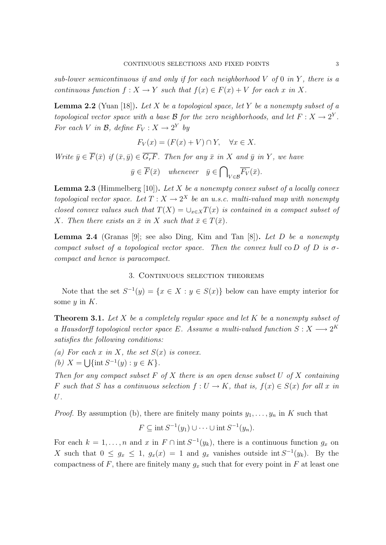sub-lower semicontinuous if and only if for each neighborhood  $V$  of  $0$  in  $Y$ , there is a continuous function  $f: X \to Y$  such that  $f(x) \in F(x) + V$  for each x in X.

**Lemma 2.2** (Yuan [18]). Let X be a topological space, let Y be a nonempty subset of a topological vector space with a base B for the zero neighborhoods, and let  $F: X \to 2^Y$ . For each V in B, define  $F_V: X \to 2^Y$  by

$$
F_V(x) = (F(x) + V) \cap Y, \quad \forall x \in X.
$$

Write  $\bar{y} \in \overline{F}(\bar{x})$  if  $(\bar{x}, \bar{y}) \in \overline{G_rF}$ . Then for any  $\bar{x}$  in X and  $\bar{y}$  in Y, we have  $\bar{y} \in \overline{F}(\bar{x})$  whenever  $\bar{y} \in \bigcap$  $V_{V\in\mathcal{B}}F_V(\bar{x}).$ 

**Lemma 2.3** (Himmelberg [10]). Let X be a nonempty convex subset of a locally convex topological vector space. Let  $T: X \to 2^X$  be an u.s.c. multi-valued map with nonempty closed convex values such that  $T(X) = \bigcup_{x \in X} T(x)$  is contained in a compact subset of X. Then there exists an  $\bar{x}$  in X such that  $\bar{x} \in T(\bar{x})$ .

**Lemma 2.4** (Granas [9]; see also Ding, Kim and Tan [8]). Let D be a nonempty compact subset of a topological vector space. Then the convex hull co D of D is  $\sigma$ compact and hence is paracompact.

### 3. CONTINUOUS SELECTION THEOREMS

Note that the set  $S^{-1}(y) = \{x \in X : y \in S(x)\}\$ below can have empty interior for some  $y$  in  $K$ .

**Theorem 3.1.** Let X be a completely regular space and let K be a nonempty subset of a Hausdorff topological vector space E. Assume a multi-valued function  $S: X \longrightarrow 2^K$ satisfies the following conditions:

- (a) For each x in X, the set  $S(x)$  is convex.
- (b)  $X = \bigcup \{ \text{int } S^{-1}(y) : y \in K \}.$

Then for any compact subset  $F$  of  $X$  there is an open dense subset  $U$  of  $X$  containing F such that S has a continuous selection  $f: U \to K$ , that is,  $f(x) \in S(x)$  for all x in U.

*Proof.* By assumption (b), there are finitely many points  $y_1, \ldots, y_n$  in K such that

$$
F \subseteq \text{int } S^{-1}(y_1) \cup \cdots \cup \text{int } S^{-1}(y_n).
$$

For each  $k = 1, ..., n$  and x in  $F \cap \text{int } S^{-1}(y_k)$ , there is a continuous function  $g_x$  on X such that  $0 \leq g_x \leq 1$ ,  $g_x(x) = 1$  and  $g_x$  vanishes outside int  $S^{-1}(y_k)$ . By the compactness of F, there are finitely many  $g_x$  such that for every point in F at least one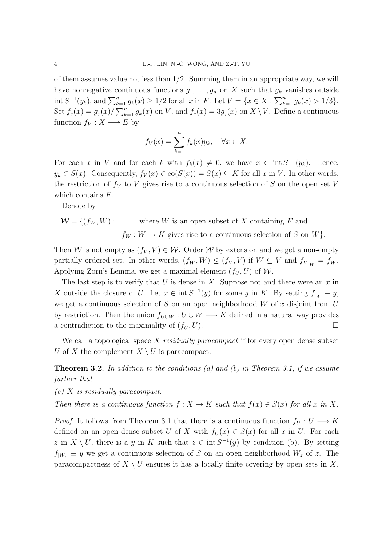of them assumes value not less than 1/2. Summing them in an appropriate way, we will have nonnegative continuous functions  $g_1, \ldots, g_n$  on X such that  $g_k$  vanishes outside int  $S^{-1}(y_k)$ , and  $\sum_{k=1}^n g_k(x) \ge 1/2$  for all x in F. Let  $V = \{x \in X : \sum_{k=1}^n g_k(x) > 1/3\}.$ Set  $f_j(x) = g_j(x)/\sum_{k=1}^n g_k(x)$  on V, and  $f_j(x) = 3g_j(x)$  on  $X \setminus V$ . Define a continuous function  $f_V : X \longrightarrow E$  by

$$
f_V(x) = \sum_{k=1}^n f_k(x) y_k, \quad \forall x \in X.
$$

For each x in V and for each k with  $f_k(x) \neq 0$ , we have  $x \in \text{int } S^{-1}(y_k)$ . Hence,  $y_k \in S(x)$ . Consequently,  $f_V(x) \in \text{co}(S(x)) = S(x) \subseteq K$  for all x in V. In other words, the restriction of  $f_V$  to V gives rise to a continuous selection of S on the open set V which contains F.

Denote by

$$
W = \{ (f_W, W) : \text{ where } W \text{ is an open subset of } X \text{ containing } F \text{ and}
$$

$$
f_W : W \to K \text{ gives rise to a continuous selection of } S \text{ on } W \}.
$$

Then W is not empty as  $(f_V, V) \in W$ . Order W by extension and we get a non-empty partially ordered set. In other words,  $(f_W, W) \le (f_V, V)$  if  $W \subseteq V$  and  $f_{V|_W} = f_W$ . Applying Zorn's Lemma, we get a maximal element  $(f_U, U)$  of W.

The last step is to verify that U is dense in X. Suppose not and there were an  $x$  in X outside the closure of U. Let  $x \in \text{int } S^{-1}(y)$  for some y in K. By setting  $f_{|W} \equiv y$ , we get a continuous selection of  $S$  on an open neighborhood  $W$  of  $x$  disjoint from  $U$ by restriction. Then the union  $f_{U\cup W}: U\cup W \longrightarrow K$  defined in a natural way provides a contradiction to the maximality of  $(f_U, U)$ .

We call a topological space X residually paracompact if for every open dense subset U of X the complement  $X \setminus U$  is paracompact.

**Theorem 3.2.** In addition to the conditions (a) and (b) in Theorem 3.1, if we assume further that

(c) X is residually paracompact.

Then there is a continuous function  $f: X \to K$  such that  $f(x) \in S(x)$  for all x in X.

*Proof.* It follows from Theorem 3.1 that there is a continuous function  $f_U : U \longrightarrow K$ defined on an open dense subset U of X with  $f_U(x) \in S(x)$  for all x in U. For each z in  $X \setminus U$ , there is a y in K such that  $z \in \text{int } S^{-1}(y)$  by condition (b). By setting  $f_{|W_z} \equiv y$  we get a continuous selection of S on an open neighborhood  $W_z$  of z. The paracompactness of  $X \setminus U$  ensures it has a locally finite covering by open sets in X,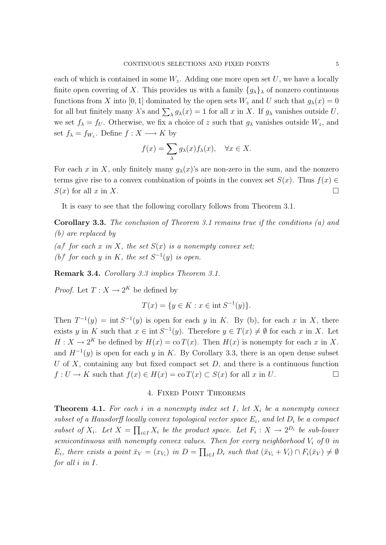each of which is contained in some  $W_z$ . Adding one more open set U, we have a locally finite open covering of X. This provides us with a family  $\{g_{\lambda}\}\$ <sub>λ</sub> of nonzero continuous functions from X into [0, 1] dominated by the open sets  $W_z$  and U such that  $g_\lambda(x) = 0$ for all but finitely many  $\lambda$ 's and  $\sum_{\lambda} g_{\lambda}(x) = 1$  for all x in X. If  $g_{\lambda}$  vanishes outside U, we set  $f_{\lambda} = f_U$ . Otherwise, we fix a choice of z such that  $g_{\lambda}$  vanishes outside  $W_z$ , and set  $f_{\lambda} = f_{W_z}$ . Define  $f : X \longrightarrow K$  by

$$
f(x) = \sum_{\lambda} g_{\lambda}(x) f_{\lambda}(x), \quad \forall x \in X.
$$

For each x in X, only finitely many  $g_{\lambda}(x)$ 's are non-zero in the sum, and the nonzero terms give rise to a convex combination of points in the convex set  $S(x)$ . Thus  $f(x) \in$  $S(x)$  for all x in X.

It is easy to see that the following corollary follows from Theorem 3.1.

Corollary 3.3. The conclusion of Theorem 3.1 remains true if the conditions (a) and (b) are replaced by

- (a)' for each x in X, the set  $S(x)$  is a nonempty convex set;
- (b)' for each y in K, the set  $S^{-1}(y)$  is open.

Remark 3.4. Corollary 3.3 implies Theorem 3.1.

*Proof.* Let  $T: X \to 2^K$  be defined by

$$
T(x) = \{ y \in K : x \in \text{int } S^{-1}(y) \}.
$$

Then  $T^{-1}(y) = \text{int } S^{-1}(y)$  is open for each y in K. By (b), for each x in X, there exists y in K such that  $x \in \text{int } S^{-1}(y)$ . Therefore  $y \in T(x) \neq \emptyset$  for each x in X. Let  $H: X \to 2^K$  be defined by  $H(x) = \text{co } T(x)$ . Then  $H(x)$  is nonempty for each x in X. and  $H^{-1}(y)$  is open for each y in K. By Corollary 3.3, there is an open dense subset U of X, containing any but fixed compact set  $D$ , and there is a continuous function  $f: U \to K$  such that  $f(x) \in H(x) = \text{co } T(x) \subset S(x)$  for all x in U.

# 4. Fixed Point Theorems

**Theorem 4.1.** For each i in a nonempty index set I, let  $X_i$  be a nonempty convex subset of a Hausdorff locally convex topological vector space  $E_i$ , and let  $D_i$  be a compact subset of  $X_i$ . Let  $X = \prod_{i \in I} X_i$  be the product space. Let  $F_i : X \to 2^{D_i}$  be sub-lower semicontinuous with nonempty convex values. Then for every neighborhood  $V_i$  of 0 in  $E_i$ , there exists a point  $\bar{x}_V = (x_{V_i})$  in  $D = \prod_{i \in I} D_i$  such that  $(\bar{x}_{V_i} + V_i) \cap F_i(\bar{x}_V) \neq \emptyset$ for all i in I.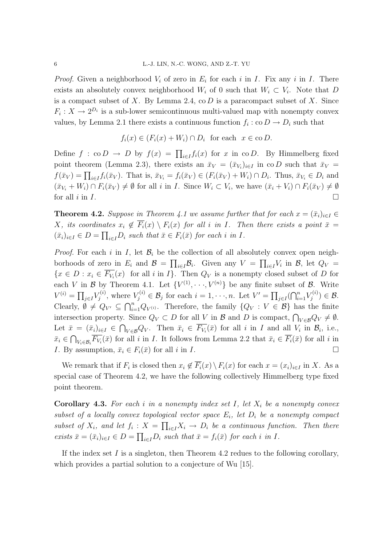*Proof.* Given a neighborhood  $V_i$  of zero in  $E_i$  for each i in I. Fix any i in I. There exists an absolutely convex neighborhood  $W_i$  of 0 such that  $W_i \subset V_i$ . Note that D is a compact subset of X. By Lemma 2.4,  $\infty$  D is a paracompact subset of X. Since  $F_i: X \to 2^{D_i}$  is a sub-lower semicontinuous multi-valued map with nonempty convex values, by Lemma 2.1 there exists a continuous function  $f_i : \text{co} D \to D_i$  such that

$$
f_i(x) \in (F_i(x) + W_i) \cap D_i \text{ for each } x \in \text{co } D.
$$

Define  $f : co D \to D$  by  $f(x) = \prod_{i \in I} f_i(x)$  for x in co D. By Himmelberg fixed point theorem (Lemma 2.3), there exists an  $\bar{x}_V = (\bar{x}_{V_i})_{i \in I}$  in co D such that  $\bar{x}_V =$  $f(\bar{x}_V) = \prod_{i \in I} f_i(\bar{x}_V)$ . That is,  $\bar{x}_{V_i} = f_i(\bar{x}_V) \in (F_i(\bar{x}_V) + W_i) \cap D_i$ . Thus,  $\bar{x}_{V_i} \in D_i$  and  $(\bar{x}_{V_i} + W_i) \cap F_i(\bar{x}_V) \neq \emptyset$  for all i in I. Since  $W_i \subset V_i$ , we have  $(\bar{x}_i + V_i) \cap F_i(\bar{x}_V) \neq \emptyset$ for all  $i$  in  $I$ .

**Theorem 4.2.** Suppose in Theorem 4.1 we assume further that for each  $x = (\bar{x}_i)_{i \in I} \in$ X, its coordinates  $x_i \notin \overline{F}_i(x) \setminus F_i(x)$  for all i in I. Then there exists a point  $\overline{x} =$  $(\bar{x}_i)_{i\in I} \in D = \prod_{i\in I} D_i$  such that  $\bar{x} \in F_i(\bar{x})$  for each i in I.

*Proof.* For each i in I, let  $\mathcal{B}_i$  be the collection of all absolutely convex open neighborhoods of zero in  $E_i$  and  $\mathcal{B} = \prod_{i \in I} \mathcal{B}_i$ . Given any  $V = \prod_{i \in I} V_i$  in  $\mathcal{B}$ , let  $Q_V =$  $\{x \in D : x_i \in F_{V_i}(x) \text{ for all } i \text{ in } I\}.$  Then  $Q_V$  is a nonempty closed subset of D for each V in B by Theorem 4.1. Let  $\{V^{(1)}, \dots, V^{(n)}\}$  be any finite subset of B. Write  $V^{(i)} = \prod_{j \in I} V_j^{(i)}$  $y_j^{(i)}$ , where  $V_j^{(i)} \in \mathcal{B}_j$  for each  $i = 1, \dots, n$ . Let  $V' = \prod_{j \in I} (\bigcap_{i=1}^n V_j^{(i)})$  $j^{(i)})\in\mathcal{B}.$ Clearly,  $\emptyset \neq Q_{V'} \subseteq \bigcap_{i=1}^n Q_{V^{(i)}}$ . Therefore, the family  $\{Q_V : V \in \mathcal{B}\}\)$  has the finite intersection property. Since  $Q_V \subset D$  for all V in B and D is compact,  $\bigcap_{V \in \mathcal{B}} Q_V \neq \emptyset$ . Let  $\bar{x} = (\bar{x}_i)_{i \in I} \in \bigcap_{V \in \mathcal{B}} Q_V$ . Then  $\bar{x}_i \in \overline{F_{V_i}}(\bar{x})$  for all i in I and all  $V_i$  in  $\mathcal{B}_i$ , i.e.,  $\bar{x}_i \in \bigcap_{V_i \in \mathcal{B}_i} \overline{F_{V_i}}(\bar{x})$  for all i in I. It follows from Lemma 2.2 that  $\bar{x}_i \in \overline{F_i}(\bar{x})$  for all i in I. By assumption,  $\bar{x}_i \in F_i(\bar{x})$  for all i in I.

We remark that if  $F_i$  is closed then  $x_i \notin F_i(x) \setminus F_i(x)$  for each  $x = (x_i)_{i \in I}$  in X. As a special case of Theorem 4.2, we have the following collectively Himmelberg type fixed point theorem.

**Corollary 4.3.** For each i in a nonempty index set I, let  $X_i$  be a nonempty convex subset of a locally convex topological vector space  $E_i$ , let  $D_i$  be a nonempty compact subset of  $X_i$ , and let  $f_i: X = \prod_{i \in I} X_i \to D_i$  be a continuous function. Then there exists  $\bar{x} = (\bar{x}_i)_{i \in I} \in D = \prod_{i \in I} D_i$  such that  $\bar{x} = f_i(\bar{x})$  for each i in I.

If the index set  $I$  is a singleton, then Theorem 4.2 redues to the following corollary, which provides a partial solution to a conjecture of Wu [15].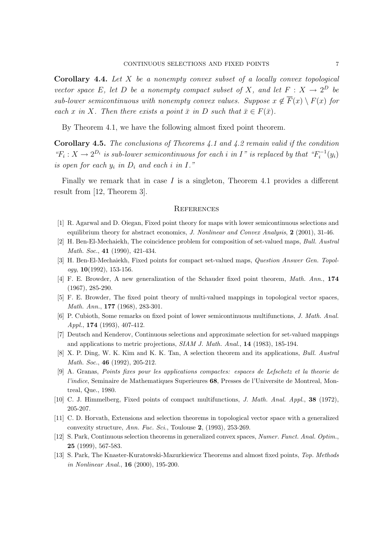Corollary 4.4. Let X be a nonempty convex subset of a locally convex topological vector space E, let D be a nonempty compact subset of X, and let  $F: X \to 2^D$  be sub-lower semicontinuous with nonempty convex values. Suppose  $x \notin \overline{F}(x) \setminus F(x)$  for each x in X. Then there exists a point  $\bar{x}$  in D such that  $\bar{x} \in F(\bar{x})$ .

By Theorem 4.1, we have the following almost fixed point theorem.

Corollary 4.5. The conclusions of Theorems 4.1 and 4.2 remain valid if the condition " $F_i: X \to 2^{D_i}$  is sub-lower semicontinuous for each i in I" is replaced by that " $F_i^{-1}$ "  $j_i^{-1}(y_i)$ is open for each  $y_i$  in  $D_i$  and each i in I."

Finally we remark that in case  $I$  is a singleton, Theorem 4.1 provides a different result from [12, Theorem 3].

# **REFERENCES**

- [1] R. Agarwal and D. Oiegan, Fixed point theory for maps with lower semicontinuous selections and equilibrium theory for abstract economics, *J. Nonlinear and Convex Analysis*, **2** (2001), 31-46.
- [2] H. Ben-El-Mechaiekh, The coincidence problem for composition of set-valued maps, Bull. Austral Math. Soc., 41 (1990), 421-434.
- [3] H. Ben-El-Mechaiekh, Fixed points for compact set-valued maps, Question Answer Gen. Topol $ogy, 10(1992), 153-156.$
- [4] F. E. Browder, A new generalization of the Schauder fixed point theorem, Math. Ann., 174 (1967), 285-290.
- [5] F. E. Browder, The fixed point theory of multi-valued mappings in topological vector spaces, Math. Ann., 177 (1968), 283-301.
- [6] P. Cubioth, Some remarks on fixed point of lower semicontinuous multifunctions, J. Math. Anal. Appl., 174 (1993), 407-412.
- [7] Deutsch and Kenderov, Continuous selections and approximate selection for set-valued mappings and applications to metric projections, SIAM J. Math. Anal., 14 (1983), 185-194.
- [8] X. P. Ding, W. K. Kim and K. K. Tan, A selection theorem and its applications, Bull. Austral Math. Soc., **46** (1992), 205-212.
- [9] A. Granas, Points fixes pour les applications compactes: espaces de Lefschetz et la theorie de l'indice, Seminaire de Mathematiques Superieures 68, Presses de l'Universite de Montreal, Montreal, Que., 1980.
- [10] C. J. Himmelberg, Fixed points of compact multifunctions, *J. Math. Anal. Appl.*, 38 (1972), 205-207.
- [11] C. D. Horvath, Extensions and selection theorems in topological vector space with a generalized convexity structure, Ann. Fuc. Sci., Toulouse 2, (1993), 253-269.
- [12] S. Park, Continuous selection theorems in generalized convex spaces, Numer. Funct. Anal. Optim., 25 (1999), 567-583.
- [13] S. Park, The Knaster-Kuratowski-Mazurkiewicz Theorems and almost fixed points, Top. Methods in Nonlinear Anal., 16 (2000), 195-200.